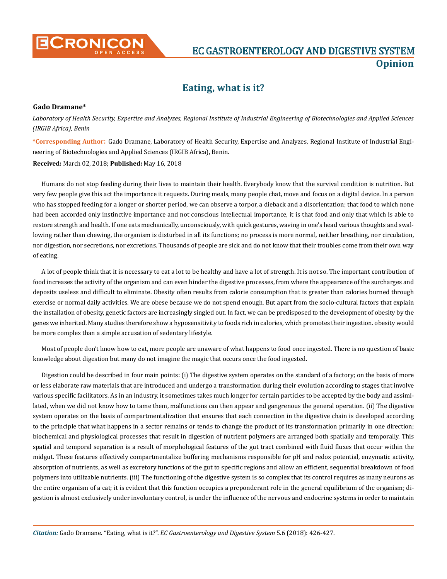

## **Eating, what is it?**

## **Gado Dramane\***

*Laboratory of Health Security, Expertise and Analyzes, Regional Institute of Industrial Engineering of Biotechnologies and Applied Sciences (IRGIB Africa), Benin*

**\*Corresponding Author**: Gado Dramane, Laboratory of Health Security, Expertise and Analyzes, Regional Institute of Industrial Engineering of Biotechnologies and Applied Sciences (IRGIB Africa), Benin.

**Received:** March 02, 2018; **Published:** May 16, 2018

Humans do not stop feeding during their lives to maintain their health. Everybody know that the survival condition is nutrition. But very few people give this act the importance it requests. During meals, many people chat, move and focus on a digital device. In a person who has stopped feeding for a longer or shorter period, we can observe a torpor, a dieback and a disorientation; that food to which none had been accorded only instinctive importance and not conscious intellectual importance, it is that food and only that which is able to restore strength and health. If one eats mechanically, unconsciously, with quick gestures, waving in one's head various thoughts and swallowing rather than chewing, the organism is disturbed in all its functions; no process is more normal, neither breathing, nor circulation, nor digestion, nor secretions, nor excretions. Thousands of people are sick and do not know that their troubles come from their own way of eating.

A lot of people think that it is necessary to eat a lot to be healthy and have a lot of strength. It is not so. The important contribution of food increases the activity of the organism and can even hinder the digestive processes, from where the appearance of the surcharges and deposits useless and difficult to eliminate. Obesity often results from calorie consumption that is greater than calories burned through exercise or normal daily activities. We are obese because we do not spend enough. But apart from the socio-cultural factors that explain the installation of obesity, genetic factors are increasingly singled out. In fact, we can be predisposed to the development of obesity by the genes we inherited. Many studies therefore show a hyposensitivity to foods rich in calories, which promotes their ingestion. obesity would be more complex than a simple accusation of sedentary lifestyle.

Most of people don't know how to eat, more people are unaware of what happens to food once ingested. There is no question of basic knowledge about digestion but many do not imagine the magic that occurs once the food ingested.

Digestion could be described in four main points: (i) The digestive system operates on the standard of a factory; on the basis of more or less elaborate raw materials that are introduced and undergo a transformation during their evolution according to stages that involve various specific facilitators. As in an industry, it sometimes takes much longer for certain particles to be accepted by the body and assimilated, when we did not know how to tame them, malfunctions can then appear and gangrenous the general operation. (ii) The digestive system operates on the basis of compartmentalization that ensures that each connection in the digestive chain is developed according to the principle that what happens in a sector remains or tends to change the product of its transformation primarily in one direction; biochemical and physiological processes that result in digestion of nutrient polymers are arranged both spatially and temporally. This spatial and temporal separation is a result of morphological features of the gut tract combined with fluid fluxes that occur within the midgut. These features effectively compartmentalize buffering mechanisms responsible for pH and redox potential, enzymatic activity, absorption of nutrients, as well as excretory functions of the gut to specific regions and allow an efficient, sequential breakdown of food polymers into utilizable nutrients. (iii) The functioning of the digestive system is so complex that its control requires as many neurons as the entire organism of a cat; it is evident that this function occupies a preponderant role in the general equilibrium of the organism; digestion is almost exclusively under involuntary control, is under the influence of the nervous and endocrine systems in order to maintain